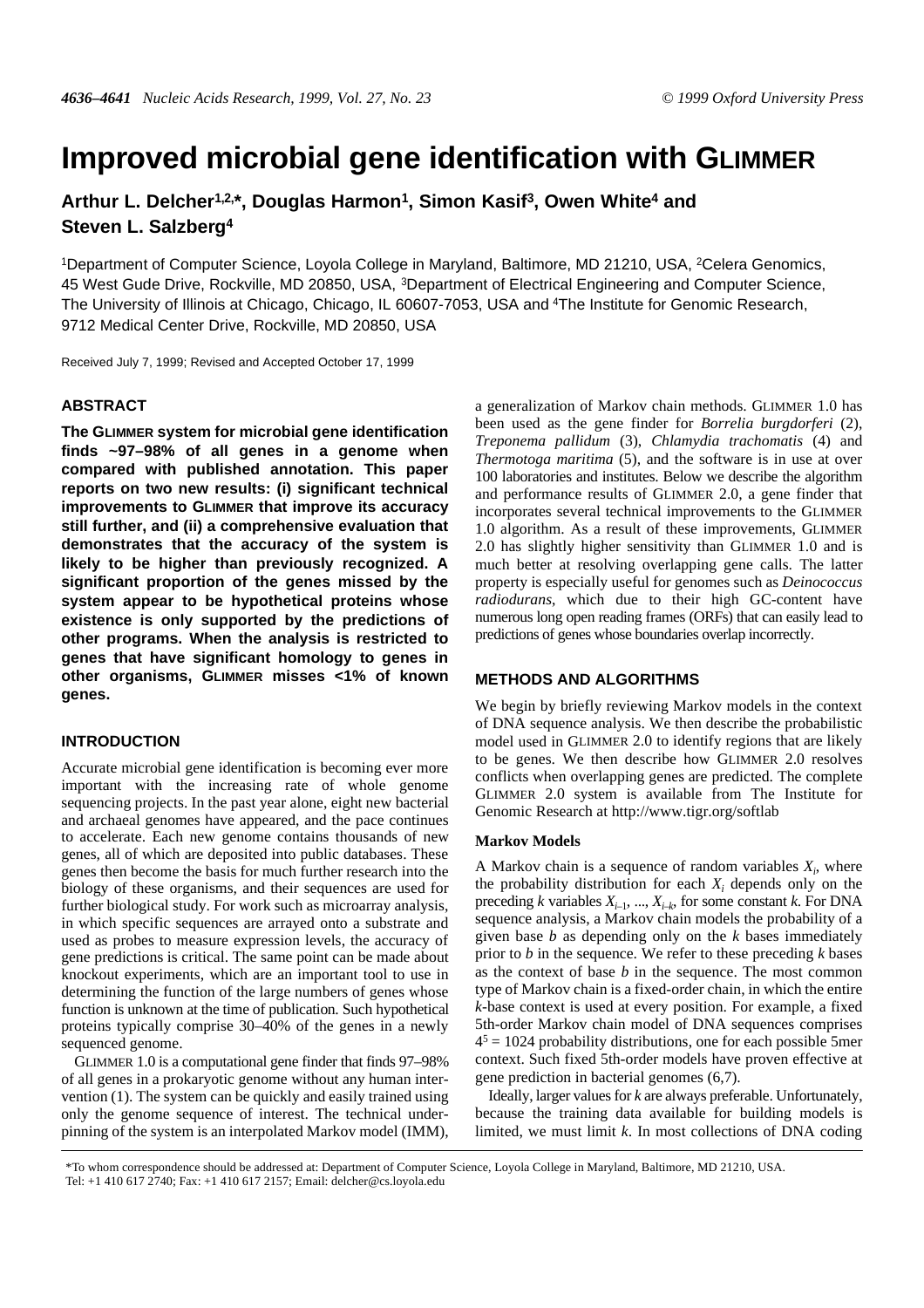# **Improved microbial gene identification with GLIMMER**

**Arthur L. Delche[r1,2,](#page-0-0)\*, Douglas Harmon[1,](#page-0-0) Simon Kasi[f3,](#page-0-0) Owen White[4](#page-0-0) and Steven L. Salzberg[4](#page-0-0)**

<span id="page-0-0"></span>1Department of Computer Science, Loyola College in Maryland, Baltimore, MD 21210, USA, 2Celera Genomics, 45 West Gude Drive, Rockville, MD 20850, USA, 3Department of Electrical Engineering and Computer Science, The University of Illinois at Chicago, Chicago, IL 60607-7053, USA and <sup>4</sup>The Institute for Genomic Research, 9712 Medical Center Drive, Rockville, MD 20850, USA

Received July 7, 1999; Revised and Accepted October 17, 1999

# **ABSTRACT**

**The GLIMMER system for microbial gene identification finds ~97–98% of all genes in a genome when compared with published annotation. This paper reports on two new results: (i) significant technical improvements to GLIMMER that improve its accuracy still further, and (ii) a comprehensive evaluation that demonstrates that the accuracy of the system is likely to be higher than previously recognized. A significant proportion of the genes missed by the system appear to be hypothetical proteins whose existence is only supported by the predictions of other programs. When the analysis is restricted to genes that have significant homology to genes in other organisms, GLIMMER misses <1% of known genes.**

## **INTRODUCTION**

Accurate microbial gene identification is becoming ever more important with the increasing rate of whole genome sequencing projects. In the past year alone, eight new bacterial and archaeal genomes have appeared, and the pace continues to accelerate. Each new genome contains thousands of new genes, all of which are deposited into public databases. These genes then become the basis for much further research into the biology of these organisms, and their sequences are used for further biological study. For work such as microarray analysis, in which specific sequences are arrayed onto a substrate and used as probes to measure expression levels, the accuracy of gene predictions is critical. The same point can be made about knockout experiments, which are an important tool to use in determining the function of the large numbers of genes whose function is unknown at the time of publication. Such hypothetical proteins typically comprise 30–40% of the genes in a newly sequenced genome.

GLIMMER 1.0 is a computational gene finder that finds 97–98% of all genes in a prokaryotic genome without any human intervention ([1\)](#page-5-0). The system can be quickly and easily trained using only the genome sequence of interest. The technical underpinning of the system is an interpolated Markov model (IMM), a generalization of Markov chain methods. GLIMMER 1.0 has been used as the gene finder for *Borrelia burgdorferi* ([2\)](#page-5-1), *Treponema pallidum* ([3\)](#page-5-2), *Chlamydia trachomatis* ([4\)](#page-5-3) and *Thermotoga maritima* ([5\)](#page-5-4), and the software is in use at over 100 laboratories and institutes. Below we describe the algorithm and performance results of GLIMMER 2.0, a gene finder that incorporates several technical improvements to the GLIMMER 1.0 algorithm. As a result of these improvements, GLIMMER 2.0 has slightly higher sensitivity than GLIMMER 1.0 and is much better at resolving overlapping gene calls. The latter property is especially useful for genomes such as *Deinococcus radiodurans*, which due to their high GC-content have numerous long open reading frames (ORFs) that can easily lead to predictions of genes whose boundaries overlap incorrectly.

# **METHODS AND ALGORITHMS**

We begin by briefly reviewing Markov models in the context of DNA sequence analysis. We then describe the probabilistic model used in GLIMMER 2.0 to identify regions that are likely to be genes. We then describe how GLIMMER 2.0 resolves conflicts when overlapping genes are predicted. The complete GLIMMER 2.0 system is available from The Institute for Genomic Research at http://www.tigr.org/softlab

## **Markov Models**

A Markov chain is a sequence of random variables  $X_i$ , where the probability distribution for each  $X_i$  depends only on the preceding *k* variables  $X_{i-1}$ , ...,  $X_{i-k}$ , for some constant *k*. For DNA sequence analysis, a Markov chain models the probability of a given base *b* as depending only on the *k* bases immediately prior to *b* in the sequence. We refer to these preceding *k* bases as the context of base *b* in the sequence. The most common type of Markov chain is a fixed-order chain, in which the entire *k*-base context is used at every position. For example, a fixed 5th-order Markov chain model of DNA sequences comprises  $4<sup>5</sup> = 1024$  probability distributions, one for each possible 5mer context. Such fixed 5th-order models have proven effective at gene prediction in bacterial genomes ([6](#page-5-5)[,7](#page-5-6)).

Ideally, larger values for *k* are always preferable. Unfortunately, because the training data available for building models is limited, we must limit *k*. In most collections of DNA coding

\*To whom correspondence should be addressed at: Department of Computer Science, Loyola College in Maryland, Baltimore, MD 21210, USA. Tel: +1 410 617 2740; Fax: +1 410 617 2157; Email: delcher@cs.loyola.edu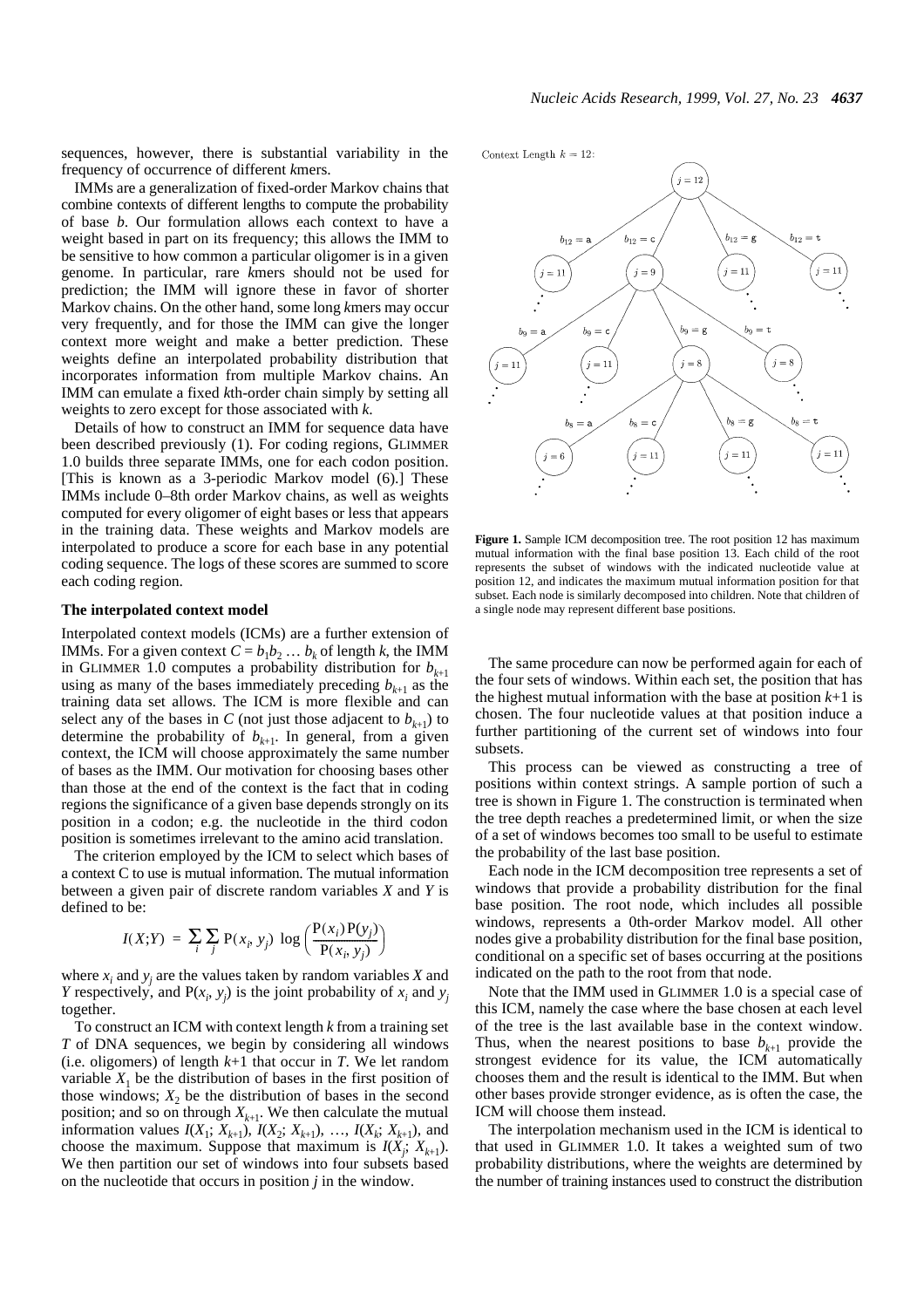<span id="page-1-0"></span>sequences, however, there is substantial variability in the frequency of occurrence of different *k*mers.

IMMs are a generalization of fixed-order Markov chains that combine contexts of different lengths to compute the probability of base *b*. Our formulation allows each context to have a weight based in part on its frequency; this allows the IMM to be sensitive to how common a particular oligomer is in a given genome. In particular, rare *k*mers should not be used for prediction; the IMM will ignore these in favor of shorter Markov chains. On the other hand, some long *k*mers may occur very frequently, and for those the IMM can give the longer context more weight and make a better prediction. These weights define an interpolated probability distribution that incorporates information from multiple Markov chains. An IMM can emulate a fixed *k*th-order chain simply by setting all weights to zero except for those associated with *k*.

Details of how to construct an IMM for sequence data have been described previously [\(1](#page-5-0)). For coding regions, GLIMMER 1.0 builds three separate IMMs, one for each codon position. [This is known as a 3-periodic Markov model [\(6](#page-5-5)).] These IMMs include 0–8th order Markov chains, as well as weights computed for every oligomer of eight bases or less that appears in the training data. These weights and Markov models are interpolated to produce a score for each base in any potential coding sequence. The logs of these scores are summed to score each coding region.

## **The interpolated context model**

Interpolated context models (ICMs) are a further extension of IMMs. For a given context  $C = b_1 b_2 \dots b_k$  of length *k*, the IMM in GLIMMER 1.0 computes a probability distribution for  $b_{k+1}$ using as many of the bases immediately preceding  $b_{k+1}$  as the training data set allows. The ICM is more flexible and can select any of the bases in *C* (not just those adjacent to  $b_{k+1}$ ) to determine the probability of  $b_{k+1}$ . In general, from a given context, the ICM will choose approximately the same number of bases as the IMM. Our motivation for choosing bases other than those at the end of the context is the fact that in coding regions the significance of a given base depends strongly on its position in a codon; e.g. the nucleotide in the third codon position is sometimes irrelevant to the amino acid translation.

The criterion employed by the ICM to select which bases of a context C to use is mutual information. The mutual information between a given pair of discrete random variables *X* and *Y* is defined to be:

$$
I(X;Y) = \sum_{i} \sum_{j} P(x_i, y_j) \log \left( \frac{P(x_i) P(y_j)}{P(x_i, y_j)} \right)
$$

where  $x_i$  and  $y_j$  are the values taken by random variables  $X$  and *Y* respectively, and  $P(x_i, y_j)$  is the joint probability of  $x_i$  and  $y_j$ together.

To construct an ICM with context length *k* from a training set *T* of DNA sequences, we begin by considering all windows (i.e. oligomers) of length *k*+1 that occur in *T*. We let random variable  $X_1$  be the distribution of bases in the first position of those windows;  $X_2$  be the distribution of bases in the second position; and so on through  $X_{k+1}$ . We then calculate the mutual information values  $I(X_1; X_{k+1}), I(X_2; X_{k+1}), \ldots, I(X_k; X_{k+1}),$  and choose the maximum. Suppose that maximum is  $I(X_j; X_{k+1})$ . We then partition our set of windows into four subsets based on the nucleotide that occurs in position *j* in the window.

Context Length  $k = 12$ 



Figure 1. Sample ICM decomposition tree. The root position 12 has maximum mutual information with the final base position 13. Each child of the root represents the subset of windows with the indicated nucleotide value at position 12, and indicates the maximum mutual information position for that subset. Each node is similarly decomposed into children. Note that children of a single node may represent different base positions.

The same procedure can now be performed again for each of the four sets of windows. Within each set, the position that has the highest mutual information with the base at position  $k+1$  is chosen. The four nucleotide values at that position induce a further partitioning of the current set of windows into four subsets.

This process can be viewed as constructing a tree of positions within context strings. A sample portion of such a tree is shown in Figure [1.](#page-1-0) The construction is terminated when the tree depth reaches a predetermined limit, or when the size of a set of windows becomes too small to be useful to estimate the probability of the last base position.

Each node in the ICM decomposition tree represents a set of windows that provide a probability distribution for the final base position. The root node, which includes all possible windows, represents a 0th-order Markov model. All other nodes give a probability distribution for the final base position, conditional on a specific set of bases occurring at the positions indicated on the path to the root from that node.

Note that the IMM used in GLIMMER 1.0 is a special case of this ICM, namely the case where the base chosen at each level of the tree is the last available base in the context window. Thus, when the nearest positions to base  $b_{k+1}$  provide the strongest evidence for its value, the ICM automatically chooses them and the result is identical to the IMM. But when other bases provide stronger evidence, as is often the case, the ICM will choose them instead.

The interpolation mechanism used in the ICM is identical to that used in GLIMMER 1.0. It takes a weighted sum of two probability distributions, where the weights are determined by the number of training instances used to construct the distribution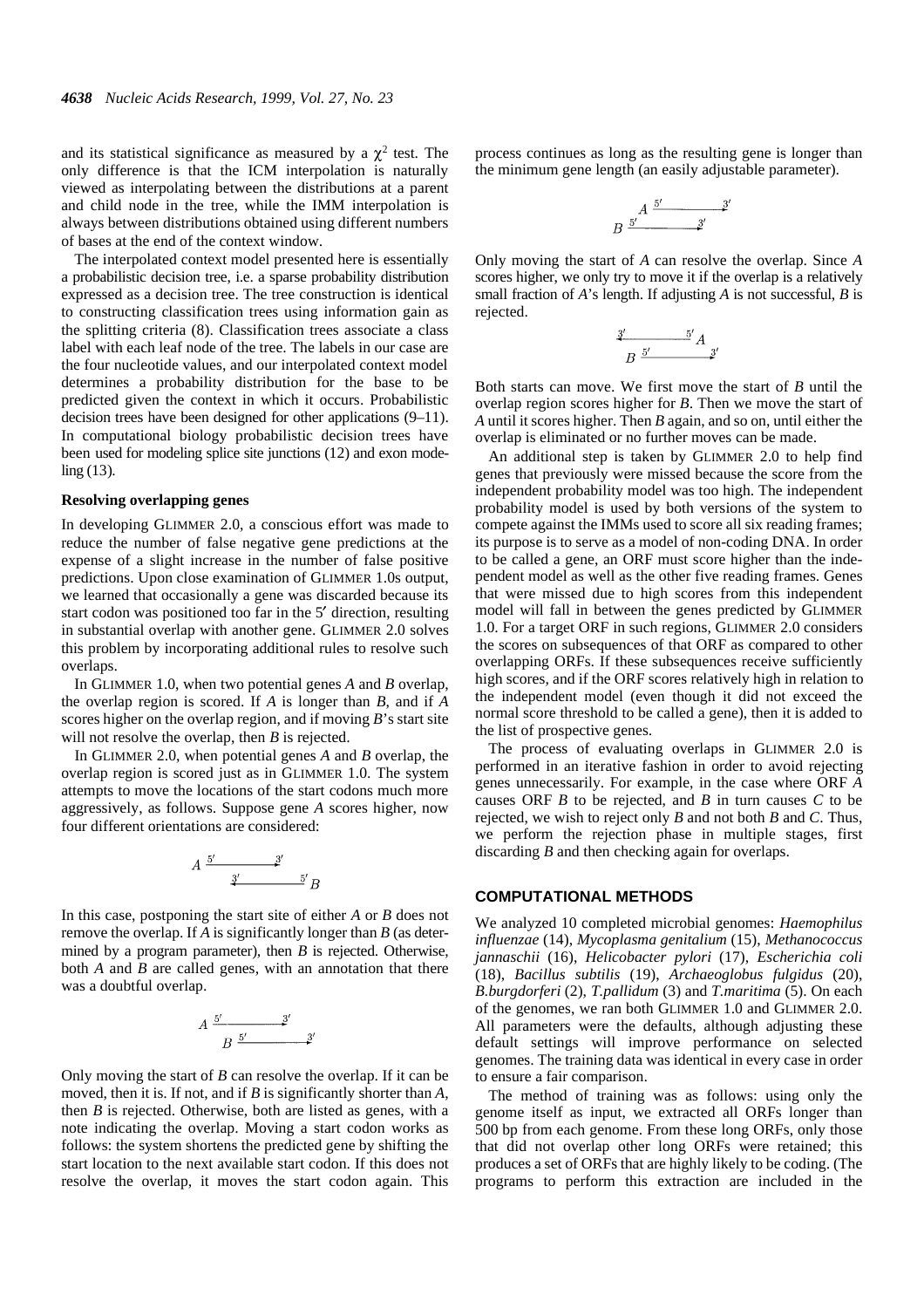and its statistical significance as measured by a  $\chi^2$  test. The only difference is that the ICM interpolation is naturally viewed as interpolating between the distributions at a parent and child node in the tree, while the IMM interpolation is always between distributions obtained using different numbers of bases at the end of the context window.

The interpolated context model presented here is essentially a probabilistic decision tree, i.e. a sparse probability distribution expressed as a decision tree. The tree construction is identical to constructing classification trees using information gain as the splitting criteria ([8\)](#page-5-7). Classification trees associate a class label with each leaf node of the tree. The labels in our case are the four nucleotide values, and our interpolated context model determines a probability distribution for the base to be predicted given the context in which it occurs. Probabilistic decision trees have been designed for other applications [\(9](#page-5-8)[–11](#page-5-9)). In computational biology probabilistic decision trees have been used for modeling splice site junctions [\(12\)](#page-5-10) and exon modeling [\(13](#page-5-11)).

#### **Resolving overlapping genes**

In developing GLIMMER 2.0, a conscious effort was made to reduce the number of false negative gene predictions at the expense of a slight increase in the number of false positive predictions. Upon close examination of GLIMMER 1.0s output, we learned that occasionally a gene was discarded because its start codon was positioned too far in the 5' direction, resulting in substantial overlap with another gene. GLIMMER 2.0 solves this problem by incorporating additional rules to resolve such overlaps.

In GLIMMER 1.0, when two potential genes *A* and *B* overlap, the overlap region is scored. If *A* is longer than *B*, and if *A* scores higher on the overlap region, and if moving *B*'s start site will not resolve the overlap, then *B* is rejected.

In GLIMMER 2.0, when potential genes *A* and *B* overlap, the overlap region is scored just as in GLIMMER 1.0. The system attempts to move the locations of the start codons much more aggressively, as follows. Suppose gene *A* scores higher, now four different orientations are considered:

$$
A \xrightarrow{\frac{5'}{2}}^{3'} B
$$

In this case, postponing the start site of either *A* or *B* does not remove the overlap. If *A* is significantly longer than *B* (as determined by a program parameter), then *B* is rejected. Otherwise, both *A* and *B* are called genes, with an annotation that there was a doubtful overlap.

$$
A \frac{5'}{B} \frac{3'}{2} \frac{3'}{3}
$$

Only moving the start of *B* can resolve the overlap. If it can be moved, then it is. If not, and if *B* is significantly shorter than *A*, then *B* is rejected. Otherwise, both are listed as genes, with a note indicating the overlap. Moving a start codon works as follows: the system shortens the predicted gene by shifting the start location to the next available start codon. If this does not resolve the overlap, it moves the start codon again. This

process continues as long as the resulting gene is longer than the minimum gene length (an easily adjustable parameter).

$$
B \xrightarrow{5'} \xrightarrow{3'}
$$

Only moving the start of *A* can resolve the overlap. Since *A* scores higher, we only try to move it if the overlap is a relatively small fraction of *A*'s length. If adjusting *A* is not successful, *B* is rejected.

$$
\begin{array}{c}\n \stackrel{3'}{2} \quad \text{5'} \\
B \stackrel{5'}{2} \quad \text{3} \\
\end{array}
$$

Both starts can move. We first move the start of *B* until the overlap region scores higher for *B*. Then we move the start of *A* until it scores higher. Then *B* again, and so on, until either the overlap is eliminated or no further moves can be made.

An additional step is taken by GLIMMER 2.0 to help find genes that previously were missed because the score from the independent probability model was too high. The independent probability model is used by both versions of the system to compete against the IMMs used to score all six reading frames; its purpose is to serve as a model of non-coding DNA. In order to be called a gene, an ORF must score higher than the independent model as well as the other five reading frames. Genes that were missed due to high scores from this independent model will fall in between the genes predicted by GLIMMER 1.0. For a target ORF in such regions, GLIMMER 2.0 considers the scores on subsequences of that ORF as compared to other overlapping ORFs. If these subsequences receive sufficiently high scores, and if the ORF scores relatively high in relation to the independent model (even though it did not exceed the normal score threshold to be called a gene), then it is added to the list of prospective genes.

The process of evaluating overlaps in GLIMMER 2.0 is performed in an iterative fashion in order to avoid rejecting genes unnecessarily. For example, in the case where ORF *A* causes ORF *B* to be rejected, and *B* in turn causes *C* to be rejected, we wish to reject only *B* and not both *B* and *C*. Thus, we perform the rejection phase in multiple stages, first discarding *B* and then checking again for overlaps.

## **COMPUTATIONAL METHODS**

We analyzed 10 completed microbial genomes: *Haemophilus influenzae* [\(14](#page-5-12)), *Mycoplasma genitalium* [\(15](#page-5-13)), *Methanococcus jannaschii* [\(16](#page-5-14)), *Helicobacter pylori* ([17\)](#page-5-15), *Escherichia coli* [\(18](#page-5-16)), *Bacillus subtilis* ([19\)](#page-5-17), *Archaeoglobus fulgidus* ([20\)](#page-5-18), *B.burgdorferi* [\(2](#page-5-1)), *T.pallidum* [\(3](#page-5-2)) and *T.maritima* ([5\)](#page-5-4). On each of the genomes, we ran both GLIMMER 1.0 and GLIMMER 2.0. All parameters were the defaults, although adjusting these default settings will improve performance on selected genomes. The training data was identical in every case in order to ensure a fair comparison.

The method of training was as follows: using only the genome itself as input, we extracted all ORFs longer than 500 bp from each genome. From these long ORFs, only those that did not overlap other long ORFs were retained; this produces a set of ORFs that are highly likely to be coding. (The programs to perform this extraction are included in the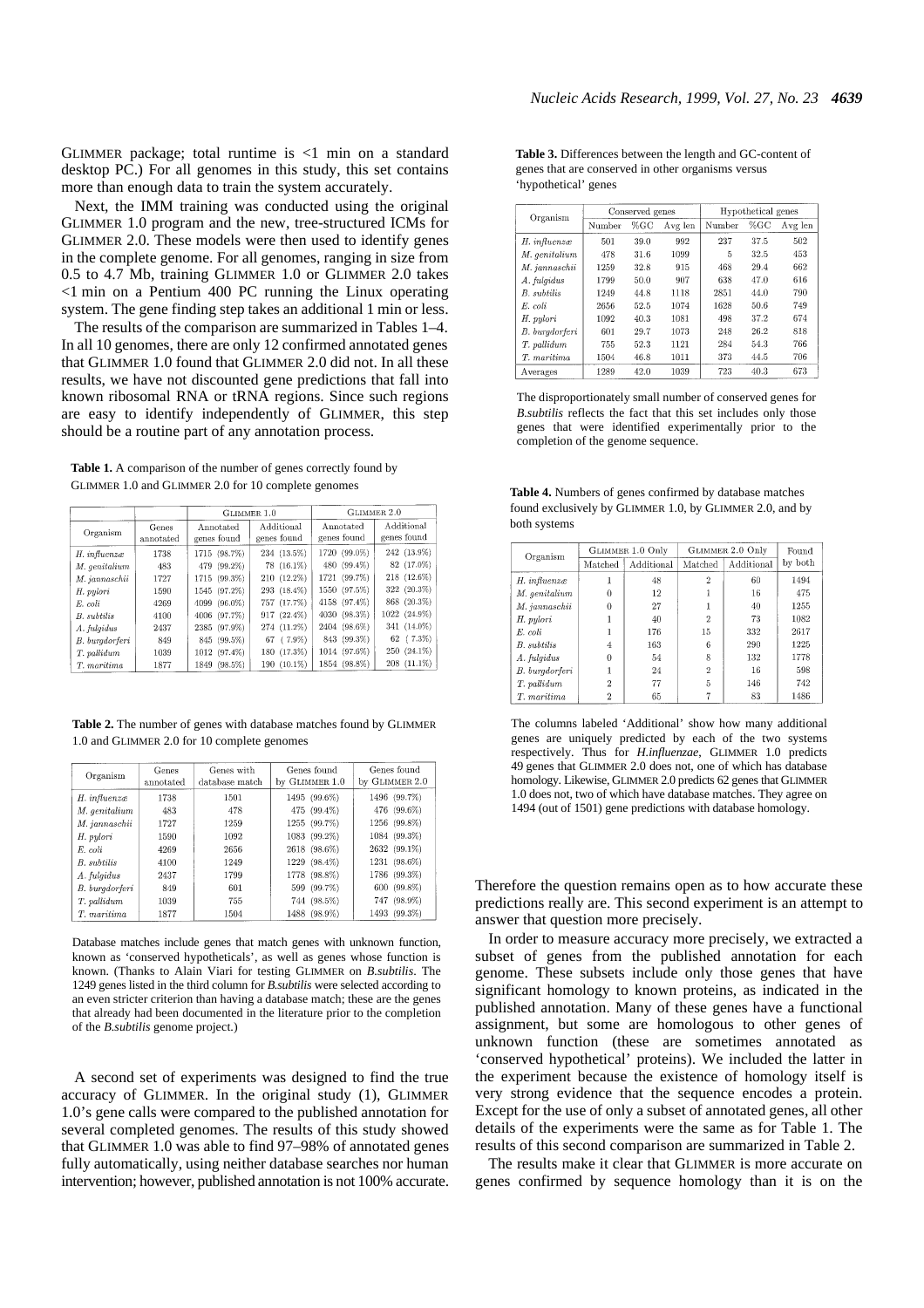<span id="page-3-0"></span>GLIMMER package; total runtime is  $\langle 1 \rangle$  min on a standard desktop PC.) For all genomes in this study, this set contains more than enough data to train the system accurately.

Next, the IMM training was conducted using the original GLIMMER 1.0 program and the new, tree-structured ICMs for GLIMMER 2.0. These models were then used to identify genes in the complete genome. For all genomes, ranging in size from 0.5 to 4.7 Mb, training GLIMMER 1.0 or GLIMMER 2.0 takes <1 min on a Pentium 400 PC running the Linux operating system. The gene finding step takes an additional 1 min or less.

The results of the comparison are summarized in Tables 1–4. In all 10 genomes, there are only 12 confirmed annotated genes that GLIMMER 1.0 found that GLIMMER 2.0 did not. In all these results, we have not discounted gene predictions that fall into known ribosomal RNA or tRNA regions. Since such regions are easy to identify independently of GLIMMER, this step should be a routine part of any annotation process.

**Table 1.** A comparison of the number of genes correctly found by GLIMMER 1.0 and GLIMMER 2.0 for 10 complete genomes

|                               |                    | GLIMMER 1.0                  |                                | GLIMMER 2.0                  |                               |
|-------------------------------|--------------------|------------------------------|--------------------------------|------------------------------|-------------------------------|
| Organism                      | Genes<br>annotated | Annotated<br>genes found     | Additional<br>genes found      | Annotated<br>genes found     | Additional<br>genes found     |
| H. influenzæ<br>M. genitalium | 1738<br>483        | 1715 (98.7%)<br>479 (99.2%)  | 234 (13.5%)<br>$78(16.1\%)$    | 1720 (99.0%)<br>480 (99.4%)  | 242 (13.9%)<br>82 (17.0%)     |
| M. jannaschii                 | 1727               | 1715 (99.3%)                 | 210 (12.2%)                    | 1721 (99.7%)                 | 218 (12.6%)                   |
| H. pylori<br>E. coli          | 1590<br>4269       | 1545 (97.2%)<br>4099 (96.0%) | 293 (18.4%)<br>757 (17.7%)     | 1550 (97.5%)<br>4158 (97.4%) | 322 (20.3%)<br>868 (20.3%)    |
| B. subtilis                   | 4100               | 4006 (97.7%)                 | 917 (22.4%)                    | 4030 (98.3%)                 | 1022 (24.9%)                  |
| A. fulgidus<br>B. burgdorferi | 2437<br>849        | 2385 (97.9%)<br>845 (99.5%)  | 274 (11.2%)<br>$(7.9\%)$<br>67 | 2404 (98.6%)<br>843 (99.3%)  | 341 (14.0%)<br>$62$ $(7.3\%)$ |
| T. pallidum                   | 1039               | 1012 (97.4%)                 | 180 (17.3%)                    | 1014 (97.6%)                 | 250 (24.1%)                   |
| T. maritima                   | 1877               | 1849 (98.5%)                 | 190 (10.1%)                    | 1854 (98.8%)                 | 208 (11.1%)                   |

**Table 2.** The number of genes with database matches found by GLIMMER 1.0 and GLIMMER 2.0 for 10 complete genomes

| Organism       | Genes<br>annotated | Genes with<br>database match | Genes found<br>by GLIMMER 1.0 | Genes found<br>by GLIMMER 2.0 |
|----------------|--------------------|------------------------------|-------------------------------|-------------------------------|
| H. influenzæ   | 1738               | 1501                         | 1495 (99.6%)                  | 1496 (99.7%)                  |
| M. genitalium  | 483                | 478                          | 475 (99.4%)                   | 476 (99.6%)                   |
| M. jannaschii  | 1727               | 1259                         | 1255 (99.7%)                  | 1256 (99.8%)                  |
| H. pylori      | 1590               | 1092                         | 1083 (99.2%)                  | 1084 (99.3%)                  |
| E. coli        | 4269               | 2656                         | 2618 (98.6%)                  | 2632 (99.1%)                  |
| B. subtilis    | 4100               | 1249                         | 1229 (98.4%)                  | 1231 (98.6%)                  |
| A. fulgidus    | 2437               | 1799                         | 1778 (98.8%)                  | 1786 (99.3%)                  |
| B. burgdorferi | 849                | 601                          | 599 (99.7%)                   | 600 (99.8%)                   |
| T. pallidum    | 1039               | 755                          | 744 (98.5%)                   | 747 (98.9%)                   |
| T. maritima    | 1877               | 1504                         | 1488 (98.9%)                  | 1493 (99.3%)                  |

Database matches include genes that match genes with unknown function, known as 'conserved hypotheticals', as well as genes whose function is known. (Thanks to Alain Viari for testing GLIMMER on *B.subtilis*. The 1249 genes listed in the third column for *B.subtilis* were selected according to an even stricter criterion than having a database match; these are the genes that already had been documented in the literature prior to the completion of the *B.subtilis* genome project.)

A second set of experiments was designed to find the true accuracy of GLIMMER. In the original study [\(1](#page-5-0)), GLIMMER 1.0's gene calls were compared to the published annotation for several completed genomes. The results of this study showed that GLIMMER 1.0 was able to find 97–98% of annotated genes fully automatically, using neither database searches nor human intervention; however, published annotation is not 100% accurate. **Table 3.** Differences between the length and GC-content of genes that are conserved in other organisms versus 'hypothetical' genes

| Organism       | Conserved genes |        |         | Hypothetical genes |      |         |
|----------------|-----------------|--------|---------|--------------------|------|---------|
|                | Number          | $%$ GC | Avg len | Number             | %GC  | Avg len |
| H. influenzæ   | 501             | 39.0   | 992     | 237                | 37.5 | 502     |
| M. genitalium  | 478             | 31.6   | 1099    | 5                  | 32.5 | 453     |
| M. jannaschii  | 1259            | 32.8   | 915     | 468                | 29.4 | 662     |
| A. fulgidus    | 1799            | 50.0   | 907     | 638                | 47.0 | 616     |
| B. subtilis    | 1249            | 44.8   | 1118    | 2851               | 44.0 | 790     |
| E. coli        | 2656            | 52.5   | 1074    | 1628               | 50.6 | 749     |
| H. pulori      | 1092            | 40.3   | 1081    | 498                | 37.2 | 674     |
| B. burgdorferi | 601             | 29.7   | 1073    | 248                | 26.2 | 818     |
| T. pallidum    | 755             | 52.3   | 1121    | 284                | 54.3 | 766     |
| T. maritima    | 1504            | 46.8   | 1011    | 373                | 44.5 | 706     |
| Averages       | 1289            | 42.0   | 1039    | 723                | 40.3 | 673     |

The disproportionately small number of conserved genes for *B.subtilis* reflects the fact that this set includes only those genes that were identified experimentally prior to the completion of the genome sequence.

**Table 4.** Numbers of genes confirmed by database matches found exclusively by GLIMMER 1.0, by GLIMMER 2.0, and by both systems

| Organism       |                | <b>GLIMMER 1.0 Only</b> | <b>GLIMMER 2.0 Only</b> | Found      |         |
|----------------|----------------|-------------------------|-------------------------|------------|---------|
|                | Matched        | Additional              | Matched                 | Additional | by both |
| H. influenzæ   |                | 48                      | 2                       | 60         | 1494    |
| M. genitalium  | 0              | 12                      |                         | 16         | 475     |
| M. jannaschii  | 0              | 27                      |                         | 40         | 1255    |
| H. pylori      |                | 40                      | 2                       | 73         | 1082    |
| E. coli        |                | 176                     | 15                      | 332        | 2617    |
| B. subtilis    | 4              | 163                     | 6                       | 290        | 1225    |
| A. fulgidus    | 0              | 54                      | 8                       | 132        | 1778    |
| B. burgdorferi |                | 24                      | $\overline{2}$          | 16         | 598     |
| T. pallidum    | $\overline{2}$ | 77                      | 5                       | 146        | 742     |
| T. maritima    | 2              | 65                      |                         | 83         | 1486    |

The columns labeled 'Additional' show how many additional genes are uniquely predicted by each of the two systems respectively. Thus for *H.influenzae*, GLIMMER 1.0 predicts 49 genes that GLIMMER 2.0 does not, one of which has database homology. Likewise, GLIMMER 2.0 predicts 62 genes that GLIMMER 1.0 does not, two of which have database matches. They agree on 1494 (out of 1501) gene predictions with database homology.

Therefore the question remains open as to how accurate these predictions really are. This second experiment is an attempt to answer that question more precisely.

In order to measure accuracy more precisely, we extracted a subset of genes from the published annotation for each genome. These subsets include only those genes that have significant homology to known proteins, as indicated in the published annotation. Many of these genes have a functional assignment, but some are homologous to other genes of unknown function (these are sometimes annotated as 'conserved hypothetical' proteins). We included the latter in the experiment because the existence of homology itself is very strong evidence that the sequence encodes a protein. Except for the use of only a subset of annotated genes, all other details of the experiments were the same as for Table 1. The results of this second comparison are summarized in Table 2.

The results make it clear that GLIMMER is more accurate on genes confirmed by sequence homology than it is on the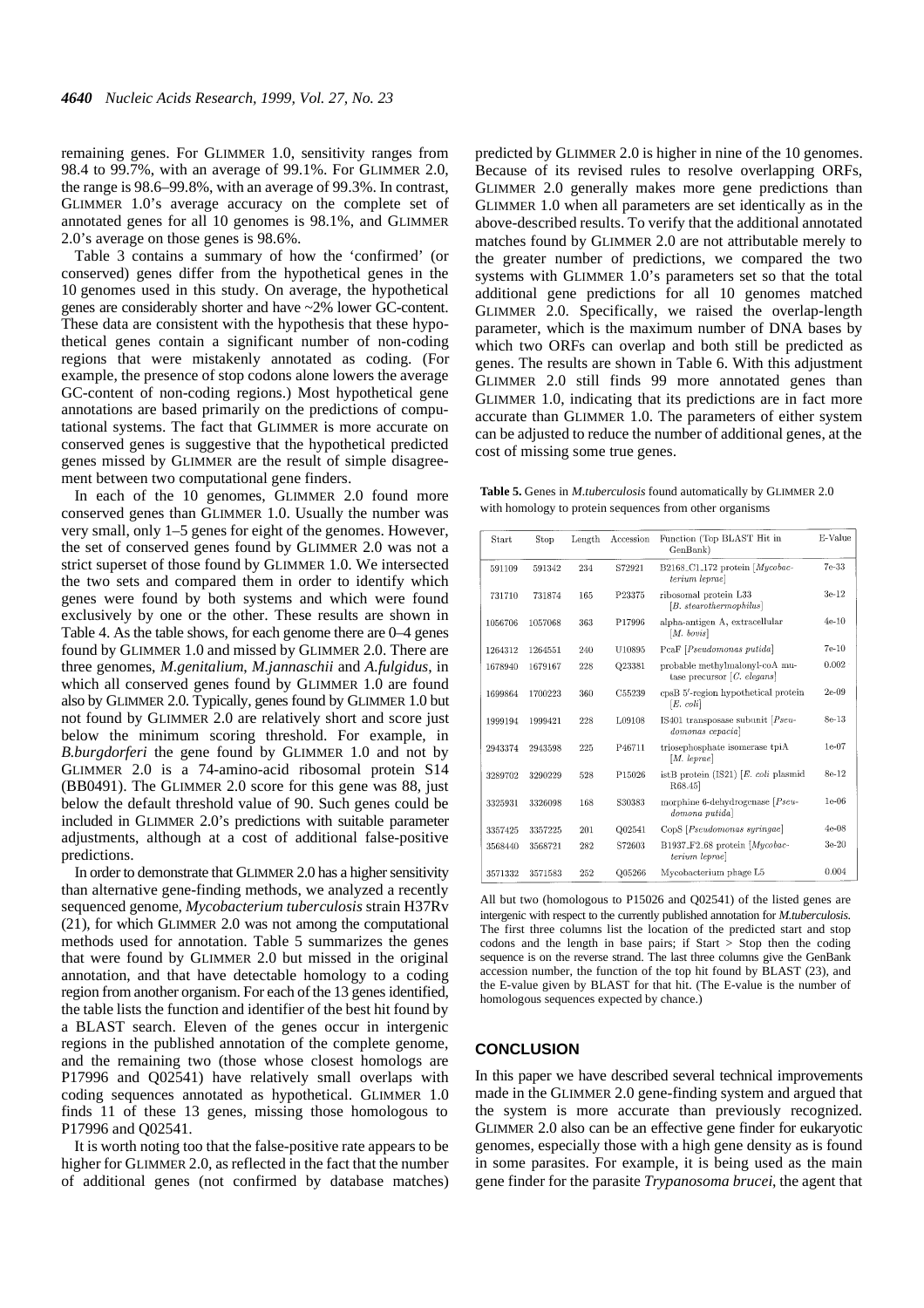remaining genes. For GLIMMER 1.0, sensitivity ranges from 98.4 to 99.7%, with an average of 99.1%. For GLIMMER 2.0, the range is 98.6–99.8%, with an average of 99.3%. In contrast, GLIMMER 1.0's average accuracy on the complete set of annotated genes for all 10 genomes is 98.1%, and GLIMMER 2.0's average on those genes is 98.6%.

Table [3](#page-3-0) contains a summary of how the 'confirmed' (or conserved) genes differ from the hypothetical genes in the 10 genomes used in this study. On average, the hypothetical genes are considerably shorter and have ~2% lower GC-content. These data are consistent with the hypothesis that these hypothetical genes contain a significant number of non-coding regions that were mistakenly annotated as coding. (For example, the presence of stop codons alone lowers the average GC-content of non-coding regions.) Most hypothetical gene annotations are based primarily on the predictions of computational systems. The fact that GLIMMER is more accurate on conserved genes is suggestive that the hypothetical predicted genes missed by GLIMMER are the result of simple disagreement between two computational gene finders.

In each of the 10 genomes, GLIMMER 2.0 found more conserved genes than GLIMMER 1.0. Usually the number was very small, only 1–5 genes for eight of the genomes. However, the set of conserved genes found by GLIMMER 2.0 was not a strict superset of those found by GLIMMER 1.0. We intersected the two sets and compared them in order to identify which genes were found by both systems and which were found exclusively by one or the other. These results are shown in Tabl[e 4.](#page-3-0) As the table shows, for each genome there are 0–4 genes found by GLIMMER 1.0 and missed by GLIMMER 2.0. There are three genomes, *M.genitalium*, *M.jannaschii* and *A.fulgidus*, in which all conserved genes found by GLIMMER 1.0 are found also by GLIMMER 2.0. Typically, genes found by GLIMMER 1.0 but not found by GLIMMER 2.0 are relatively short and score just below the minimum scoring threshold. For example, in *B.burgdorferi* the gene found by GLIMMER 1.0 and not by GLIMMER 2.0 is a 74-amino-acid ribosomal protein S14 (BB0491). The GLIMMER 2.0 score for this gene was 88, just below the default threshold value of 90. Such genes could be included in GLIMMER 2.0's predictions with suitable parameter adjustments, although at a cost of additional false-positive predictions.

In order to demonstrate that GLIMMER 2.0 has a higher sensitivity than alternative gene-finding methods, we analyzed a recently sequenced genome, *Mycobacterium tuberculosis* strain H37Rv ([21\)](#page-5-19), for which GLIMMER 2.0 was not among the computational methods used for annotation. Table 5 summarizes the genes that were found by GLIMMER 2.0 but missed in the original annotation, and that have detectable homology to a coding region from another organism. For each of the 13 genes identified, the table lists the function and identifier of the best hit found by a BLAST search. Eleven of the genes occur in intergenic regions in the published annotation of the complete genome, and the remaining two (those whose closest homologs are P17996 and Q02541) have relatively small overlaps with coding sequences annotated as hypothetical. GLIMMER 1.0 finds 11 of these 13 genes, missing those homologous to P17996 and Q02541.

It is worth noting too that the false-positive rate appears to be higher for GLIMMER 2.0, as reflected in the fact that the number of additional genes (not confirmed by database matches) predicted by GLIMMER 2.0 is higher in nine of the 10 genomes. Because of its revised rules to resolve overlapping ORFs, GLIMMER 2.0 generally makes more gene predictions than GLIMMER 1.0 when all parameters are set identically as in the above-described results. To verify that the additional annotated matches found by GLIMMER 2.0 are not attributable merely to the greater number of predictions, we compared the two systems with GLIMMER 1.0's parameters set so that the total additional gene predictions for all 10 genomes matched GLIMMER 2.0. Specifically, we raised the overlap-length parameter, which is the maximum number of DNA bases by which two ORFs can overlap and both still be predicted as genes. The results are shown in Table [6](#page-5-20). With this adjustment GLIMMER 2.0 still finds 99 more annotated genes than GLIMMER 1.0, indicating that its predictions are in fact more accurate than GLIMMER 1.0. The parameters of either system can be adjusted to reduce the number of additional genes, at the cost of missing some true genes.

**Table 5.** Genes in *M.tuberculosis* found automatically by GLIMMER 2.0 with homology to protein sequences from other organisms

| Start   | Stop    | Length | Accession | Function (Top BLAST Hit in<br>GenBank)                         | E-Value |
|---------|---------|--------|-----------|----------------------------------------------------------------|---------|
| 591109  | 591342  | 234    | S72921    | B2168_C1_172 protein $Mycobac$<br>terium leprae                | 7e-33   |
| 731710  | 731874  | 165    | P23375    | ribosomal protein L33<br>[B. stearother morphilus]             | $3e-12$ |
| 1056706 | 1057068 | 363    | P17996    | alpha-antigen A, extracellular<br>$[M.$ bovis                  | $4e-10$ |
| 1264312 | 1264551 | 240    | U10895    | PcaF [Pseudomonas putida]                                      | $7e-10$ |
| 1678940 | 1679167 | 228    | Q23381    | probable methylmalonyl-coA mu-<br>tase precursor $[C.$ elegans | 0.002   |
| 1699864 | 1700223 | 360    | C55239    | cpsB 5'-region hypothetical protein<br>$[E. \; coli]$          | $2e-09$ |
| 1999194 | 1999421 | 228    | L09108    | IS401 transposase subunit $[Pseu-$<br>domonas cepacia          | 8e-13   |
| 2943374 | 2943598 | 225    | P46711    | triosephosphate isomerase tpiA<br>[M. lenrae]                  | $1e-07$ |
| 3289702 | 3290229 | 528    | P15026    | istB protein $(IS21)$ [E. coli plasmid]<br>R68.45              | 8e-12   |
| 3325931 | 3326098 | 168    | S30383    | morphine 6-dehydrogenase $[Pseu-$<br>domona putida             | $1e-06$ |
| 3357425 | 3357225 | 201    | O02541    | CopS [Pseudomonas syringae]                                    | 4e-08   |
| 3568440 | 3568721 | 282    | S72603    | B1937_F2_68 protein [Mycobac-<br>terium leprae                 | $3e-20$ |
| 3571332 | 3571583 | 252    | Q05266    | Mycobacterium phage L5                                         | 0.004   |

All but two (homologous to P15026 and Q02541) of the listed genes are intergenic with respect to the currently published annotation for *M.tuberculosis*. The first three columns list the location of the predicted start and stop codons and the length in base pairs; if Start  $>$  Stop then the coding sequence is on the reverse strand. The last three columns give the GenBank accession number, the function of the top hit found by BLAST (23), and the E-value given by BLAST for that hit. (The E-value is the number of homologous sequences expected by chance.)

## **CONCLUSION**

In this paper we have described several technical improvements made in the GLIMMER 2.0 gene-finding system and argued that the system is more accurate than previously recognized. GLIMMER 2.0 also can be an effective gene finder for eukaryotic genomes, especially those with a high gene density as is found in some parasites. For example, it is being used as the main gene finder for the parasite *Trypanosoma brucei*, the agent that